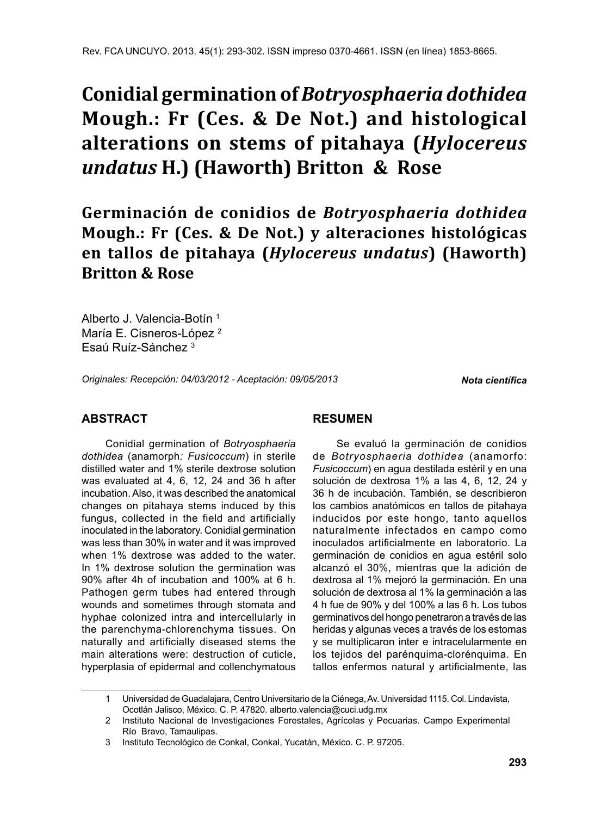# **Conidial germination of** *Botryosphaeria dothidea* **Mough.: Fr (Ces. & De Not.) and histological alterations on stems of pitahaya (***Hylocereus undatus* **H.) (Haworth) Britton & Rose**

**Germinación de conidios de** *Botryosphaeria dothidea* **Mough.: Fr (Ces. & De Not.) y alteraciones histológicas en tallos de pitahaya (***Hylocereus undatus***) (Haworth) Britton & Rose**

Alberto J. Valencia-Botín 1 María E. Cisneros-López<sup>2</sup> Esaú Ruíz-Sánchez 3

*Originales: Recepción: 04/03/2012 - Aceptación: 09/05/2013*

*Nota científica*

# **ABSTRACT**

Conidial germination of *Botryosphaeria dothidea* (anamorph*: Fusicoccum*) in sterile distilled water and 1% sterile dextrose solution was evaluated at 4, 6, 12, 24 and 36 h after incubation. Also, it was described the anatomical changes on pitahaya stems induced by this fungus, collected in the field and artificially inoculated in the laboratory. Conidial germination was less than 30% in water and it was improved when 1% dextrose was added to the water. In 1% dextrose solution the germination was 90% after 4h of incubation and 100% at 6 h. Pathogen germ tubes had entered through wounds and sometimes through stomata and hyphae colonized intra and intercellularly in the parenchyma-chlorenchyma tissues. On naturally and artificially diseased stems the main alterations were: destruction of cuticle, hyperplasia of epidermal and collenchymatous

## **RESUMEN**

Se evaluó la germinación de conidios de *Botryosphaeria dothidea* (anamorfo: *Fusicoccum*) en agua destilada estéril y en una solución de dextrosa 1% a las 4, 6, 12, 24 y 36 h de incubación. También, se describieron los cambios anatómicos en tallos de pitahaya inducidos por este hongo, tanto aquellos naturalmente infectados en campo como inoculados artificialmente en laboratorio. La germinación de conidios en agua estéril solo alcanzó el 30%, mientras que la adición de dextrosa al 1% mejoró la germinación. En una solución de dextrosa al 1% la germinación a las 4 h fue de 90% y del 100% a las 6 h. Los tubos germinativos del hongo penetraron a través de las heridas y algunas veces a través de los estomas y se multiplicaron inter e intracelularmente en los tejidos del parénquima-clorénquima. En tallos enfermos natural y artificialmente, las

<sup>1</sup> Universidad de Guadalajara, Centro Universitario de la Ciénega, Av. Universidad 1115. Col. Lindavista, Ocotlán Jalisco, México. C. P. 47820. alberto.valencia@cuci.udg.mx

<sup>2</sup> Instituto Nacional de Investigaciones Forestales, Agrícolas y Pecuarias. Campo Experimental Río Bravo, Tamaulipas.

<sup>3</sup> Instituto Tecnológico de Conkal, Conkal, Yucatán, México. C. P. 97205.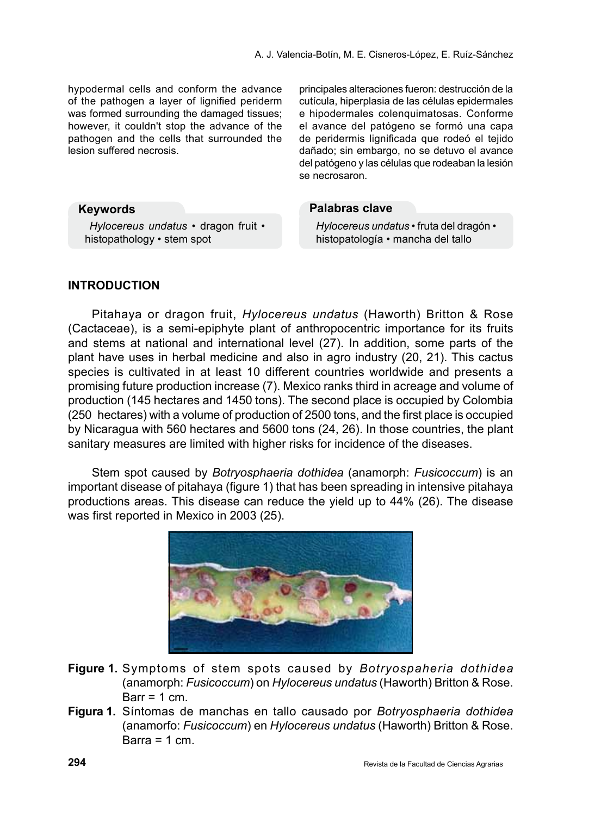hypodermal cells and conform the advance of the pathogen a layer of lignified periderm was formed surrounding the damaged tissues; however, it couldn't stop the advance of the pathogen and the cells that surrounded the lesion suffered necrosis.

principales alteraciones fueron: destrucción de la cutícula, hiperplasia de las células epidermales e hipodermales colenquimatosas. Conforme el avance del patógeno se formó una capa de peridermis lignificada que rodeó el tejido dañado; sin embargo, no se detuvo el avance del patógeno y las células que rodeaban la lesión se necrosaron.

## **Palabras clave**

*Hylocereus undatus •* fruta del dragón • histopatología • mancha del tallo

## **Keywords**

*Hylocereus undatus •* dragon fruit • histopathology • stem spot

## **INTRODUCTION**

Pitahaya or dragon fruit, *Hylocereus undatus* (Haworth) Britton & Rose (Cactaceae), is a semi-epiphyte plant of anthropocentric importance for its fruits and stems at national and international level (27). In addition, some parts of the plant have uses in herbal medicine and also in agro industry (20, 21). This cactus species is cultivated in at least 10 different countries worldwide and presents a promising future production increase (7). Mexico ranks third in acreage and volume of production (145 hectares and 1450 tons). The second place is occupied by Colombia (250 hectares) with a volume of production of 2500 tons, and the first place is occupied by Nicaragua with 560 hectares and 5600 tons (24, 26). In those countries, the plant sanitary measures are limited with higher risks for incidence of the diseases.

Stem spot caused by *Botryosphaeria dothidea* (anamorph: *Fusicoccum*) is an important disease of pitahaya (figure 1) that has been spreading in intensive pitahaya productions areas. This disease can reduce the yield up to 44% (26). The disease was first reported in Mexico in 2003 (25).



- **Figure 1.** Symptoms of stem spots caused by *Botryospaheria dothidea* (anamorph: *Fusicoccum*) on *Hylocereus undatus* (Haworth) Britton & Rose. Barr =  $1 \text{ cm}$ .
- **Figura 1.** Síntomas de manchas en tallo causado por *Botryosphaeria dothidea*  (anamorfo: *Fusicoccum*) en *Hylocereus undatus* (Haworth) Britton & Rose. Barra =  $1 \text{ cm}$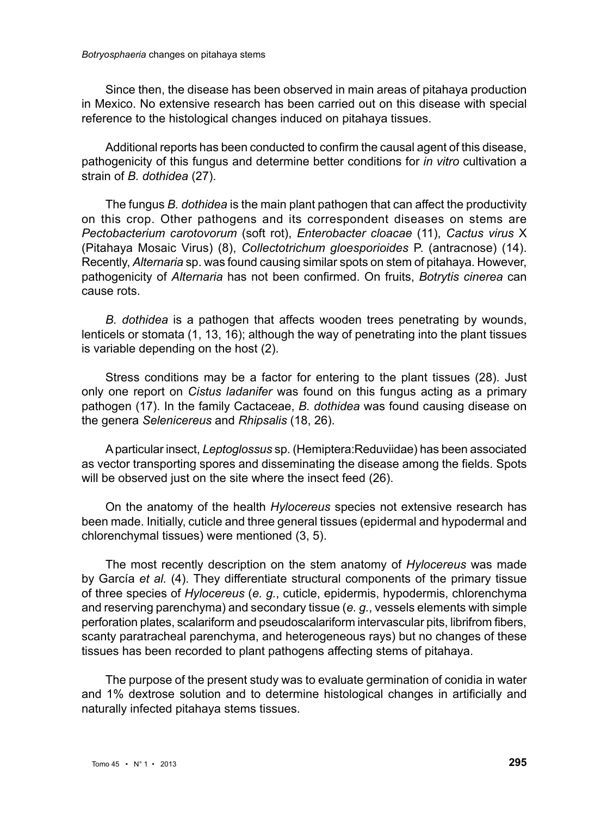Since then, the disease has been observed in main areas of pitahaya production in Mexico. No extensive research has been carried out on this disease with special reference to the histological changes induced on pitahaya tissues.

Additional reports has been conducted to confirm the causal agent of this disease, pathogenicity of this fungus and determine better conditions for *in vitro* cultivation a strain of *B. dothidea* (27).

The fungus *B. dothidea* is the main plant pathogen that can affect the productivity on this crop. Other pathogens and its correspondent diseases on stems are *Pectobacterium carotovorum* (soft rot), *Enterobacter cloacae* (11), *Cactus virus* X (Pitahaya Mosaic Virus) (8), *Collectotrichum gloesporioides* P. (antracnose) (14). Recently, *Alternaria* sp. was found causing similar spots on stem of pitahaya. However, pathogenicity of *Alternaria* has not been confirmed. On fruits, *Botrytis cinerea* can cause rots.

*B. dothidea* is a pathogen that affects wooden trees penetrating by wounds, lenticels or stomata (1, 13, 16); although the way of penetrating into the plant tissues is variable depending on the host (2).

Stress conditions may be a factor for entering to the plant tissues (28). Just only one report on *Cistus ladanifer* was found on this fungus acting as a primary pathogen (17). In the family Cactaceae, *B. dothidea* was found causing disease on the genera *Selenicereus* and *Rhipsalis* (18, 26).

A particular insect, *Leptoglossus* sp. (Hemiptera:Reduviidae) has been associated as vector transporting spores and disseminating the disease among the fields. Spots will be observed just on the site where the insect feed (26).

On the anatomy of the health *Hylocereus* species not extensive research has been made. Initially, cuticle and three general tissues (epidermal and hypodermal and chlorenchymal tissues) were mentioned (3, 5).

The most recently description on the stem anatomy of *Hylocereus* was made by García *et al.* (4). They differentiate structural components of the primary tissue of three species of *Hylocereus* (*e. g.*, cuticle, epidermis, hypodermis, chlorenchyma and reserving parenchyma) and secondary tissue (*e. g.*, vessels elements with simple perforation plates, scalariform and pseudoscalariform intervascular pits, librifrom fibers, scanty paratracheal parenchyma, and heterogeneous rays) but no changes of these tissues has been recorded to plant pathogens affecting stems of pitahaya.

The purpose of the present study was to evaluate germination of conidia in water and 1% dextrose solution and to determine histological changes in artificially and naturally infected pitahaya stems tissues.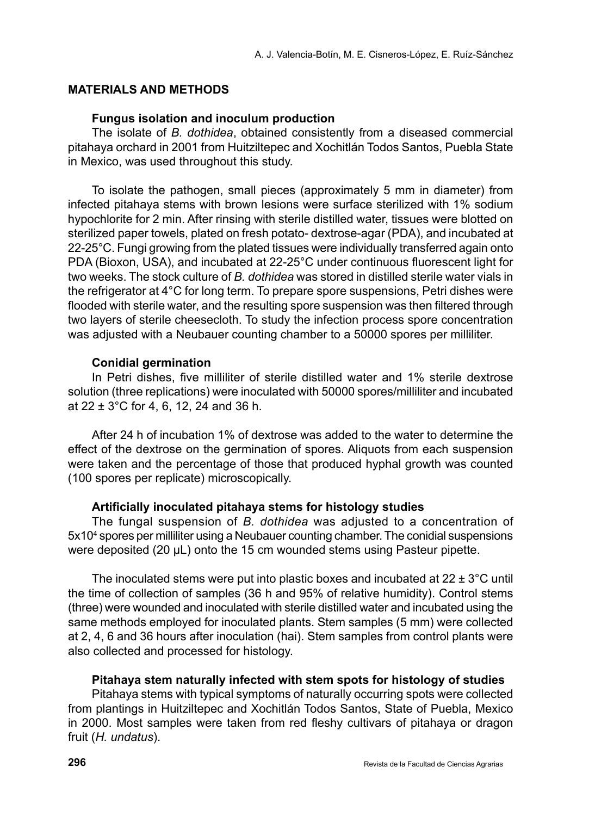## **MATERIALS AND METHODS**

## **Fungus isolation and inoculum production**

The isolate of *B. dothidea*, obtained consistently from a diseased commercial pitahaya orchard in 2001 from Huitziltepec and Xochitlán Todos Santos, Puebla State in Mexico, was used throughout this study.

To isolate the pathogen, small pieces (approximately 5 mm in diameter) from infected pitahaya stems with brown lesions were surface sterilized with 1% sodium hypochlorite for 2 min. After rinsing with sterile distilled water, tissues were blotted on sterilized paper towels, plated on fresh potato- dextrose-agar (PDA), and incubated at 22-25°C. Fungi growing from the plated tissues were individually transferred again onto PDA (Bioxon, USA), and incubated at 22-25°C under continuous fluorescent light for two weeks. The stock culture of *B. dothidea* was stored in distilled sterile water vials in the refrigerator at 4°C for long term. To prepare spore suspensions, Petri dishes were flooded with sterile water, and the resulting spore suspension was then filtered through two layers of sterile cheesecloth. To study the infection process spore concentration was adjusted with a Neubauer counting chamber to a 50000 spores per milliliter.

## **Conidial germination**

In Petri dishes, five milliliter of sterile distilled water and 1% sterile dextrose solution (three replications) were inoculated with 50000 spores/milliliter and incubated at 22 ± 3°C for 4, 6, 12, 24 and 36 h.

After 24 h of incubation 1% of dextrose was added to the water to determine the effect of the dextrose on the germination of spores. Aliquots from each suspension were taken and the percentage of those that produced hyphal growth was counted (100 spores per replicate) microscopically.

## **Artificially inoculated pitahaya stems for histology studies**

The fungal suspension of *B. dothidea* was adjusted to a concentration of 5x104 spores per milliliter using a Neubauer counting chamber. The conidial suspensions were deposited (20 µL) onto the 15 cm wounded stems using Pasteur pipette.

The inoculated stems were put into plastic boxes and incubated at  $22 \pm 3^{\circ}$ C until the time of collection of samples (36 h and 95% of relative humidity). Control stems (three) were wounded and inoculated with sterile distilled water and incubated using the same methods employed for inoculated plants. Stem samples (5 mm) were collected at 2, 4, 6 and 36 hours after inoculation (hai). Stem samples from control plants were also collected and processed for histology.

#### **Pitahaya stem naturally infected with stem spots for histology of studies**

Pitahaya stems with typical symptoms of naturally occurring spots were collected from plantings in Huitziltepec and Xochitlán Todos Santos, State of Puebla, Mexico in 2000. Most samples were taken from red fleshy cultivars of pitahaya or dragon fruit (*H. undatus*).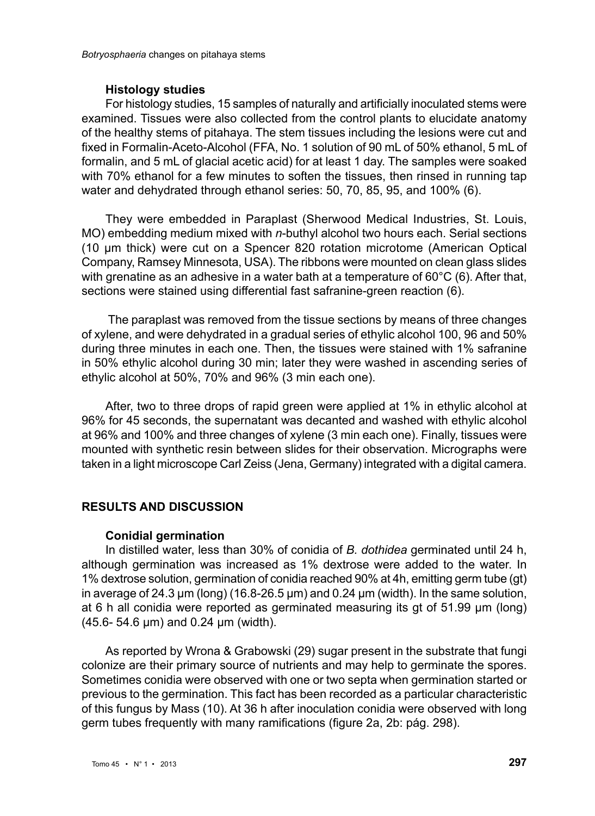#### **Histology studies**

For histology studies, 15 samples of naturally and artificially inoculated stems were examined. Tissues were also collected from the control plants to elucidate anatomy of the healthy stems of pitahaya. The stem tissues including the lesions were cut and fixed in Formalin-Aceto-Alcohol (FFA, No. 1 solution of 90 mL of 50% ethanol, 5 mL of formalin, and 5 mL of glacial acetic acid) for at least 1 day. The samples were soaked with 70% ethanol for a few minutes to soften the tissues, then rinsed in running tap water and dehydrated through ethanol series: 50, 70, 85, 95, and 100% (6).

They were embedded in Paraplast (Sherwood Medical Industries, St. Louis, MO) embedding medium mixed with *n*-buthyl alcohol two hours each. Serial sections (10 µm thick) were cut on a Spencer 820 rotation microtome (American Optical Company, Ramsey Minnesota, USA). The ribbons were mounted on clean glass slides with grenatine as an adhesive in a water bath at a temperature of 60°C (6). After that, sections were stained using differential fast safranine-green reaction (6).

 The paraplast was removed from the tissue sections by means of three changes of xylene, and were dehydrated in a gradual series of ethylic alcohol 100, 96 and 50% during three minutes in each one. Then, the tissues were stained with 1% safranine in 50% ethylic alcohol during 30 min; later they were washed in ascending series of ethylic alcohol at 50%, 70% and 96% (3 min each one).

After, two to three drops of rapid green were applied at 1% in ethylic alcohol at 96% for 45 seconds, the supernatant was decanted and washed with ethylic alcohol at 96% and 100% and three changes of xylene (3 min each one). Finally, tissues were mounted with synthetic resin between slides for their observation. Micrographs were taken in a light microscope Carl Zeiss (Jena, Germany) integrated with a digital camera.

## **RESULTS AND DISCUSSION**

## **Conidial germination**

In distilled water, less than 30% of conidia of *B. dothidea* germinated until 24 h, although germination was increased as 1% dextrose were added to the water. In 1% dextrose solution, germination of conidia reached 90% at 4h, emitting germ tube (gt) in average of 24.3 µm (long) (16.8-26.5 µm) and 0.24 µm (width). In the same solution, at 6 h all conidia were reported as germinated measuring its gt of 51.99 µm (long) (45.6- 54.6 µm) and 0.24 µm (width).

As reported by Wrona & Grabowski (29) sugar present in the substrate that fungi colonize are their primary source of nutrients and may help to germinate the spores. Sometimes conidia were observed with one or two septa when germination started or previous to the germination. This fact has been recorded as a particular characteristic of this fungus by Mass (10). At 36 h after inoculation conidia were observed with long germ tubes frequently with many ramifications (figure 2a, 2b: pág. 298).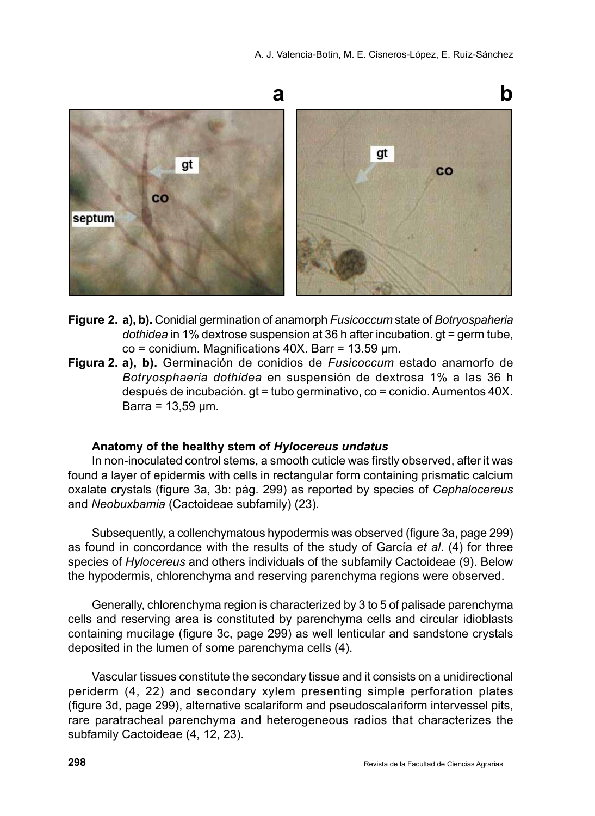

- **Figure 2. a), b).** Conidial germination of anamorph *Fusicoccum* state of *Botryospaheria dothidea* in 1% dextrose suspension at 36 h after incubation. gt = germ tube,  $\text{co} = \text{condition}$ . Magnifications 40X. Barr = 13.59 µm.
- **Figura 2. a), b).** Germinación de conidios de *Fusicoccum* estado anamorfo de *Botryosphaeria dothidea* en suspensión de dextrosa 1% a las 36 h después de incubación. gt = tubo germinativo, co = conidio. Aumentos 40X. Barra =  $13,59 \mu m$ .

## **Anatomy of the healthy stem of** *Hylocereus undatus*

In non-inoculated control stems, a smooth cuticle was firstly observed, after it was found a layer of epidermis with cells in rectangular form containing prismatic calcium oxalate crystals (figure 3a, 3b: pág. 299) as reported by species of *Cephalocereus*  and *Neobuxbamia* (Cactoideae subfamily) (23).

Subsequently, a collenchymatous hypodermis was observed (figure 3a, page 299) as found in concordance with the results of the study of García *et al*. (4) for three species of *Hylocereus* and others individuals of the subfamily Cactoideae (9). Below the hypodermis, chlorenchyma and reserving parenchyma regions were observed.

Generally, chlorenchyma region is characterized by 3 to 5 of palisade parenchyma cells and reserving area is constituted by parenchyma cells and circular idioblasts containing mucilage (figure 3c, page 299) as well lenticular and sandstone crystals deposited in the lumen of some parenchyma cells (4).

Vascular tissues constitute the secondary tissue and it consists on a unidirectional periderm (4, 22) and secondary xylem presenting simple perforation plates (figure 3d, page 299), alternative scalariform and pseudoscalariform intervessel pits, rare paratracheal parenchyma and heterogeneous radios that characterizes the subfamily Cactoideae (4, 12, 23).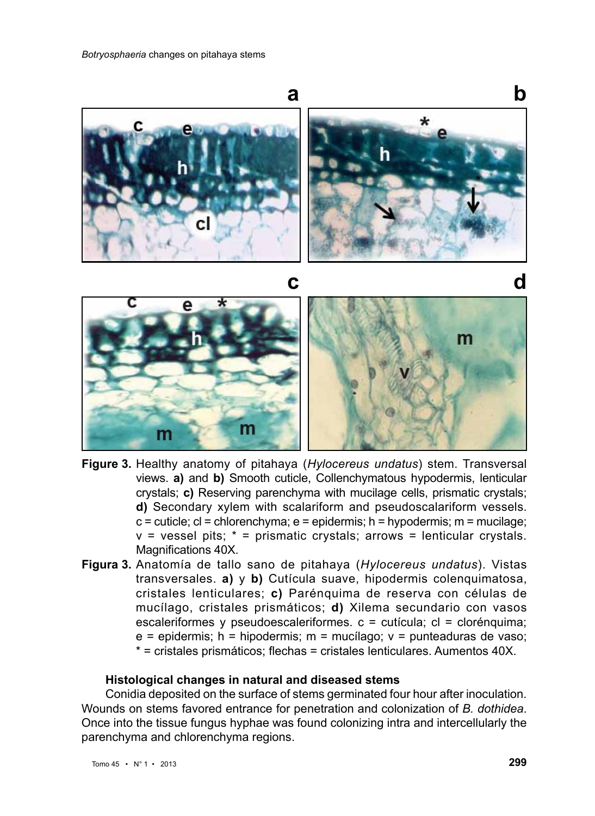

- **Figure 3.** Healthy anatomy of pitahaya (*Hylocereus undatus*) stem. Transversal views. **a)** and **b)** Smooth cuticle, Collenchymatous hypodermis, lenticular crystals; **c)** Reserving parenchyma with mucilage cells, prismatic crystals; **d)** Secondary xylem with scalariform and pseudoscalariform vessels.  $c =$  cuticle;  $cl =$  chlorenchyma;  $e =$  epidermis; h = hypodermis; m = mucilage;  $v =$  vessel pits;  $* =$  prismatic crystals; arrows = lenticular crystals. Magnifications 40X.
- **Figura 3.** Anatomía de tallo sano de pitahaya (*Hylocereus undatus*). Vistas transversales. **a)** y **b)** Cutícula suave, hipodermis colenquimatosa, cristales lenticulares; **c)** Parénquima de reserva con células de mucílago, cristales prismáticos; **d)** Xilema secundario con vasos escaleriformes y pseudoescaleriformes. c = cutícula; cl = clorénquima;  $e =$  epidermis; h = hipodermis; m = mucílago;  $v =$  punteaduras de vaso; \* = cristales prismáticos; flechas = cristales lenticulares. Aumentos 40X.

#### **Histological changes in natural and diseased stems**

Conidia deposited on the surface of stems germinated four hour after inoculation. Wounds on stems favored entrance for penetration and colonization of *B. dothidea*. Once into the tissue fungus hyphae was found colonizing intra and intercellularly the parenchyma and chlorenchyma regions.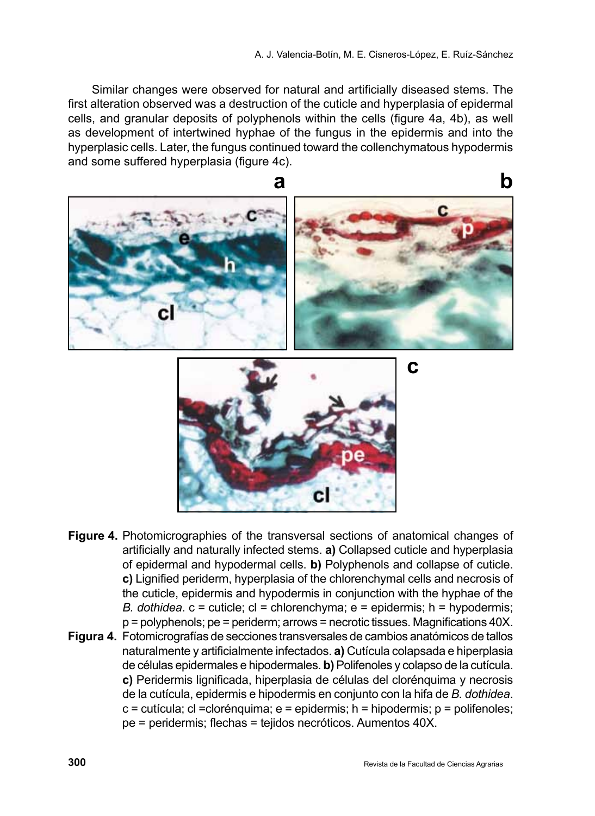Similar changes were observed for natural and artificially diseased stems. The first alteration observed was a destruction of the cuticle and hyperplasia of epidermal cells, and granular deposits of polyphenols within the cells (figure 4a, 4b), as well as development of intertwined hyphae of the fungus in the epidermis and into the hyperplasic cells. Later, the fungus continued toward the collenchymatous hypodermis and some suffered hyperplasia (figure 4c).





- **Figure 4.** Photomicrographies of the transversal sections of anatomical changes of artificially and naturally infected stems. **a)** Collapsed cuticle and hyperplasia of epidermal and hypodermal cells. **b)** Polyphenols and collapse of cuticle. **c)** Lignified periderm, hyperplasia of the chlorenchymal cells and necrosis of the cuticle, epidermis and hypodermis in conjunction with the hyphae of the *B. dothidea*. c = cuticle; cl = chlorenchyma; e = epidermis; h = hypodermis; p = polyphenols; pe = periderm; arrows = necrotic tissues. Magnifications 40X.
- **Figura 4.** Fotomicrografías de secciones transversales de cambios anatómicos de tallos naturalmente y artificialmente infectados. **a)** Cutícula colapsada e hiperplasia de células epidermales e hipodermales. **b)** Polifenoles y colapso de la cutícula. **c)** Peridermis lignificada, hiperplasia de células del clorénquima y necrosis de la cutícula, epidermis e hipodermis en conjunto con la hifa de *B. dothidea*.  $c =$  cutícula; cl = clorénquima; e = epidermis; h = hipodermis; p = polifenoles; pe = peridermis; flechas = tejidos necróticos. Aumentos 40X.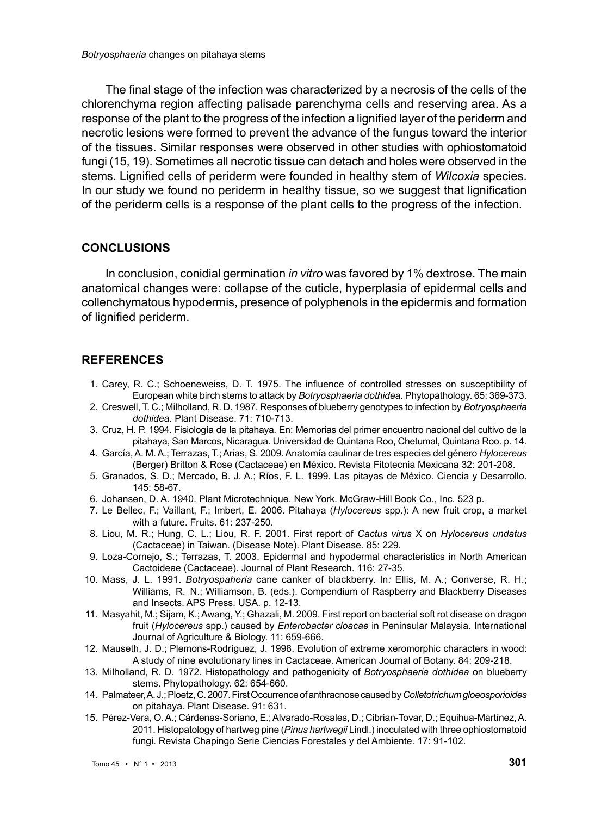The final stage of the infection was characterized by a necrosis of the cells of the chlorenchyma region affecting palisade parenchyma cells and reserving area. As a response of the plant to the progress of the infection a lignified layer of the periderm and necrotic lesions were formed to prevent the advance of the fungus toward the interior of the tissues. Similar responses were observed in other studies with ophiostomatoid fungi (15, 19). Sometimes all necrotic tissue can detach and holes were observed in the stems. Lignified cells of periderm were founded in healthy stem of *Wilcoxia* species. In our study we found no periderm in healthy tissue, so we suggest that lignification of the periderm cells is a response of the plant cells to the progress of the infection.

#### **CONCLUSIONS**

In conclusion, conidial germination *in vitro* was favored by 1% dextrose. The main anatomical changes were: collapse of the cuticle, hyperplasia of epidermal cells and collenchymatous hypodermis, presence of polyphenols in the epidermis and formation of lignified periderm.

## **REFERENCES**

- 1. Carey, R. C.; Schoeneweiss, D. T. 1975. The influence of controlled stresses on susceptibility of European white birch stems to attack by *Botryosphaeria dothidea*. Phytopathology. 65: 369-373.
- 2. Creswell, T. C.; Milholland, R. D. 1987. Responses of blueberry genotypes to infection by *Botryosphaeria dothidea*. Plant Disease. 71: 710-713.
- 3. Cruz, H. P. 1994. Fisiología de la pitahaya. En: Memorias del primer encuentro nacional del cultivo de la pitahaya, San Marcos, Nicaragua. Universidad de Quintana Roo, Chetumal, Quintana Roo. p. 14.
- 4. García, A. M. A.; Terrazas, T.; Arias, S. 2009. Anatomía caulinar de tres especies del género *Hylocereus*  (Berger) Britton & Rose (Cactaceae) en México. Revista Fitotecnia Mexicana 32: 201-208.
- 5. Granados, S. D.; Mercado, B. J. A.; Ríos, F. L. 1999. Las pitayas de México. Ciencia y Desarrollo. 145: 58-67.
- 6. Johansen, D. A. 1940. Plant Microtechnique. New York. McGraw-Hill Book Co., Inc. 523 p.
- 7. Le Bellec, F.; Vaillant, F.; Imbert, E. 2006. Pitahaya (*Hylocereus* spp.): A new fruit crop, a market with a future. Fruits. 61: 237-250.
- 8. Liou, M. R.; Hung, C. L.; Liou, R. F. 2001. First report of *Cactus virus* X on *Hylocereus undatus* (Cactaceae) in Taiwan. (Disease Note). Plant Disease. 85: 229.
- 9. Loza-Cornejo, S.; Terrazas, T. 2003. Epidermal and hypodermal characteristics in North American Cactoideae (Cactaceae). Journal of Plant Research. 116: 27-35.
- 10. Mass, J. L. 1991. *Botryospaheria* cane canker of blackberry. In*:* Ellis, M. A.; Converse, R. H.; Williams, R. N.; Williamson, B. (eds.). Compendium of Raspberry and Blackberry Diseases and Insects. APS Press. USA. p. 12-13.
- 11. Masyahit, M.; Sijam, K.; Awang, Y.; Ghazali, M. 2009. First report on bacterial soft rot disease on dragon fruit (*Hylocereus* spp.) caused by *Enterobacter cloacae* in Peninsular Malaysia. International Journal of Agriculture & Biology. 11: 659-666.
- 12. Mauseth, J. D.; Plemons-Rodríguez, J. 1998. Evolution of extreme xeromorphic characters in wood: A study of nine evolutionary lines in Cactaceae. American Journal of Botany. 84: 209-218.
- 13. Milholland, R. D. 1972. Histopathology and pathogenicity of *Botryosphaeria dothidea* on blueberry stems. Phytopathology. 62: 654-660.
- 14. Palmateer, A. J.; Ploetz, C. 2007. First Occurrence of anthracnose caused by *Colletotrichumgloeosporioides* on pitahaya. Plant Disease. 91: 631.
- 15. Pérez-Vera, O. A.; Cárdenas-Soriano, E.; Alvarado-Rosales, D.; Cibrian-Tovar, D.; Equihua-Martínez, A. 2011. Histopatology of hartweg pine (*Pinus hartwegii* Lindl.) inoculated with three ophiostomatoid fungi. Revista Chapingo Serie Ciencias Forestales y del Ambiente. 17: 91-102.